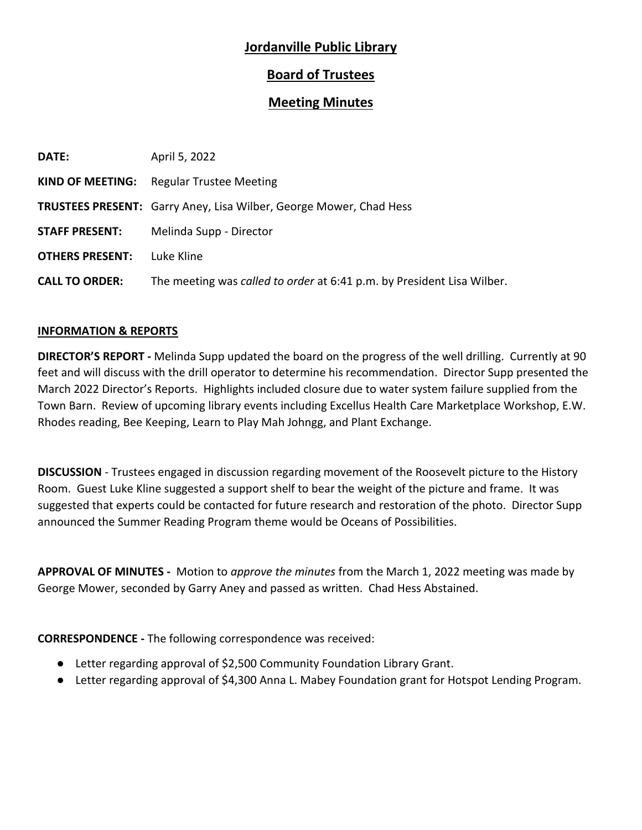# **Jordanville Public Library**

# **Board of Trustees**

## **Meeting Minutes**

| DATE:                  | April 5, 2022                                                             |
|------------------------|---------------------------------------------------------------------------|
| KIND OF MEETING:       | <b>Regular Trustee Meeting</b>                                            |
|                        | <b>TRUSTEES PRESENT:</b> Garry Aney, Lisa Wilber, George Mower, Chad Hess |
| <b>STAFF PRESENT:</b>  | Melinda Supp - Director                                                   |
| <b>OTHERS PRESENT:</b> | Luke Kline                                                                |
| <b>CALL TO ORDER:</b>  | The meeting was called to order at 6:41 p.m. by President Lisa Wilber.    |

### **INFORMATION & REPORTS**

**DIRECTOR'S REPORT -** Melinda Supp updated the board on the progress of the well drilling. Currently at 90 feet and will discuss with the drill operator to determine his recommendation. Director Supp presented the March 2022 Director's Reports. Highlights included closure due to water system failure supplied from the Town Barn. Review of upcoming library events including Excellus Health Care Marketplace Workshop, E.W. Rhodes reading, Bee Keeping, Learn to Play Mah Johngg, and Plant Exchange.

**DISCUSSION** - Trustees engaged in discussion regarding movement of the Roosevelt picture to the History Room. Guest Luke Kline suggested a support shelf to bear the weight of the picture and frame. It was suggested that experts could be contacted for future research and restoration of the photo. Director Supp announced the Summer Reading Program theme would be Oceans of Possibilities.

**APPROVAL OF MINUTES -** Motion to *approve the minutes* from the March 1, 2022 meeting was made by George Mower, seconded by Garry Aney and passed as written. Chad Hess Abstained.

**CORRESPONDENCE -** The following correspondence was received:

- Letter regarding approval of \$2,500 Community Foundation Library Grant.
- Letter regarding approval of \$4,300 Anna L. Mabey Foundation grant for Hotspot Lending Program.